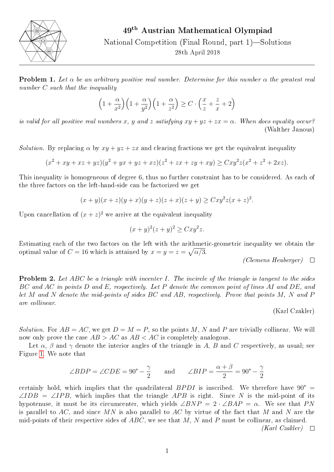

National Competition (Final Round, part 1)—Solutions 28th April 2018

**Problem 1.** Let  $\alpha$  be an arbitrary positive real number. Determine for this number  $\alpha$  the greatest real number C such that the inequality

$$
\left(1+\frac{\alpha}{x^2}\right)\left(1+\frac{\alpha}{y^2}\right)\left(1+\frac{\alpha}{z^2}\right) \ge C \cdot \left(\frac{x}{z}+\frac{z}{x}+2\right)
$$

is valid for all positive real numbers x, y and z satisfying  $xy + yz + zx = \alpha$ . When does equality occur? (Walther Janous)

Solution. By replacing  $\alpha$  by  $xy + yz + zx$  and clearing fractions we get the equivalent inequality

$$
(x2 + xy + xz + yz)(y2 + yx + yz + xz)(z2 + zx + zy + xy) \geq Cxy2z(x2 + z2 + 2xz).
$$

This inequality is homogeneous of degree 6, thus no further constraint has to be considered. As each of the three factors on the left-hand-side can be factorized we get

$$
(x+y)(x+z)(y+x)(y+z)(z+x)(z+y) \geq Cxy^{2}z(x+z)^{2}.
$$

Upon cancellation of  $(x+z)^2$  we arrive at the equivalent inequality

$$
(x+y)^2(z+y)^2 \geq Cxy^2z.
$$

Estimating each of the two factors on the left with the arithmetic-geometric inequality we obtain the optimal value of  $C = 16$  which is attained by  $x = y = z = \sqrt{\alpha/3}$ .

(Clemens Heuberger)  $\Box$ 

**Problem 2.** Let ABC be a triangle with incenter I. The incircle of the triangle is tangent to the sides BC and AC in points D and E, respectively. Let P denote the common point of lines AI and DE, and let M and N denote the mid-points of sides BC and AB, respectively. Prove that points M, N and P are collinear.

(Karl Czakler)

Solution. For  $AB = AC$ , we get  $D = M = P$ , so the points M, N and P are trivially collinear. We will now only prove the case  $AB > AC$  as  $AB < AC$  is completely analogous.

Let  $\alpha$ ,  $\beta$  and  $\gamma$  denote the interior angles of the triangle in A, B and C respectively, as usual; see Figure [1.](#page-1-0) We note that

e that  
\n
$$
\angle BDP = \angle CDE = 90^{\circ} - \frac{\gamma}{2}
$$
 and  $\angle BIP = \frac{\alpha + \beta}{2} = 90^{\circ} - \frac{\gamma}{2}$ 

certainly hold, which implies that the quadrilateral BPDI is inscribed. We therefore have  $90^{\circ}$  =  $\angle IDB = \angle IPB$ , which implies that the triangle APB is right. Since N is the mid-point of its hypotenuse, it must be its circumcenter, which yields  $\angle BNP = 2 \cdot \angle BAP = \alpha$ . We see that PN is parallel to AC, and since MN is also parallel to AC by virtue of the fact that M and N are the mid-points of their respective sides of  $ABC$ , we see that M, N and P must be collinear, as claimed.

 $(Karl Czakler) \quad \Box$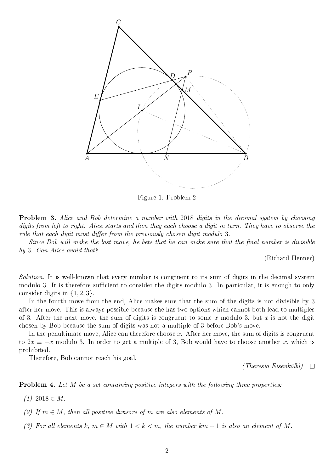<span id="page-1-0"></span>

Figure 1: Problem 2

Problem 3. Alice and Bob determine a number with 2018 digits in the decimal system by choosing digits from left to right. Alice starts and then they each choose a digit in turn. They have to observe the rule that each digit must differ from the previously chosen digit modulo  $3$ .

Since Bob will make the last move, he bets that he can make sure that the final number is divisible by 3. Can Alice avoid that?

(Richard Henner)

Solution. It is well-known that every number is congruent to its sum of digits in the decimal system modulo 3. It is therefore sufficient to consider the digits modulo 3. In particular, it is enough to only consider digits in  $\{1, 2, 3\}.$ 

In the fourth move from the end, Alice makes sure that the sum of the digits is not divisible by 3 after her move. This is always possible because she has two options which cannot both lead to multiples of 3. After the next move, the sum of digits is congruent to some x modulo 3, but x is not the digit chosen by Bob because the sum of digits was not a multiple of 3 before Bob's move.

In the penultimate move, Alice can therefore choose  $x$ . After her move, the sum of digits is congruent to  $2x \equiv -x$  modulo 3. In order to get a multiple of 3, Bob would have to choose another x, which is prohibited.

Therefore, Bob cannot reach his goal.

(Theresia Eisenkölbl)  $\Box$ 

**Problem 4.** Let M be a set containing positive integers with the following three properties:

(1) 2018  $\in$  M.

(2) If  $m \in M$ , then all positive divisors of m are also elements of M.

(3) For all elements k,  $m \in M$  with  $1 < k < m$ , the number  $km + 1$  is also an element of M.